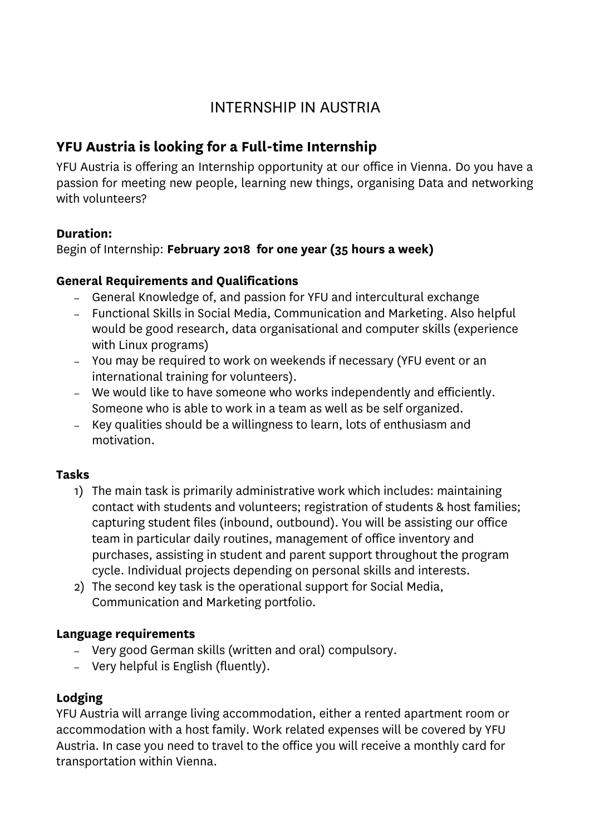# INTERNSHIP IN AUSTRIA

## **YFU Austria is looking for a Full-time Internship**

YFU Austria is offering an Internship opportunity at our office in Vienna. Do you have a passion for meeting new people, learning new things, organising Data and networking with volunteers?

## **Duration:**

Begin of Internship: **February 2018 for one year (35 hours a week)**

## **General Requirements and Qualifications**

- General Knowledge of, and passion for YFU and intercultural exchange
- Functional Skills in Social Media, Communication and Marketing. Also helpful would be good research, data organisational and computer skills (experience with Linux programs)
- You may be required to work on weekends if necessary (YFU event or an international training for volunteers).
- We would like to have someone who works independently and efficiently. Someone who is able to work in a team as well as be self organized.
- Key qualities should be a willingness to learn, lots of enthusiasm and motivation.

## **Tasks**

- 1) The main task is primarily administrative work which includes: maintaining contact with students and volunteers; registration of students & host families; capturing student files (inbound, outbound). You will be assisting our office team in particular daily routines, management of office inventory and purchases, assisting in student and parent support throughout the program cycle. Individual projects depending on personal skills and interests.
- 2) The second key task is the operational support for Social Media, Communication and Marketing portfolio.

## **Language requirements**

- Very good German skills (written and oral) compulsory.
- Very helpful is English (fluently).

## **Lodging**

YFU Austria will arrange living accommodation, either a rented apartment room or accommodation with a host family. Work related expenses will be covered by YFU Austria. In case you need to travel to the office you will receive a monthly card for transportation within Vienna.